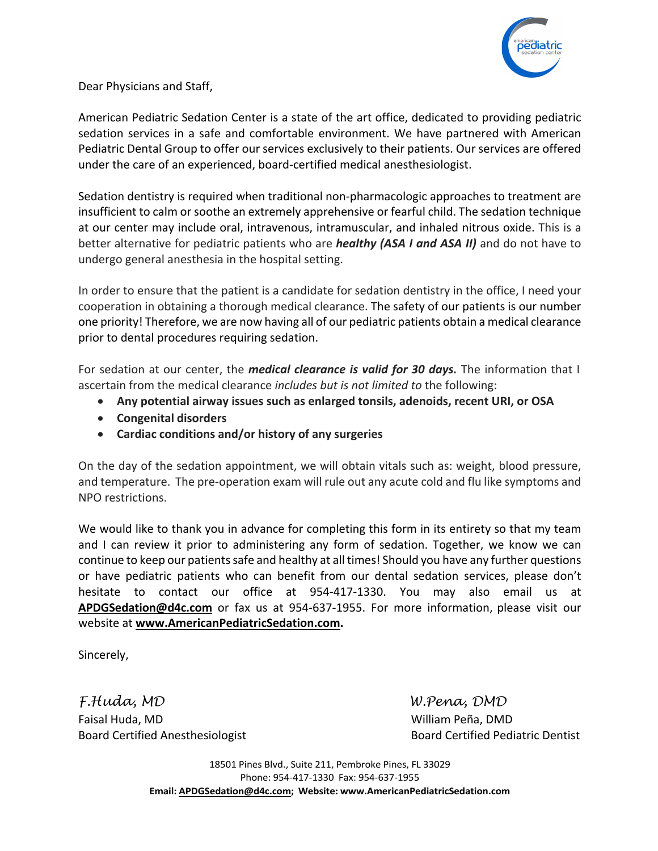

Dear Physicians and Staff,

American Pediatric Sedation Center is a state of the art office, dedicated to providing pediatric sedation services in a safe and comfortable environment. We have partnered with American Pediatric Dental Group to offer our services exclusively to their patients. Our services are offered under the care of an experienced, board-certified medical anesthesiologist.

Sedation dentistry is required when traditional non-pharmacologic approaches to treatment are insufficient to calm or soothe an extremely apprehensive or fearful child. The sedation technique at our center may include oral, intravenous, intramuscular, and inhaled nitrous oxide. This is a better alternative for pediatric patients who are *healthy (ASA I and ASA II)* and do not have to undergo general anesthesia in the hospital setting.

In order to ensure that the patient is a candidate for sedation dentistry in the office, I need your cooperation in obtaining a thorough medical clearance. The safety of our patients is our number one priority! Therefore, we are now having all of our pediatric patients obtain a medical clearance prior to dental procedures requiring sedation.

For sedation at our center, the *medical clearance is valid for 30 days.* The information that I ascertain from the medical clearance *includes but is not limited to* the following:

- **Any potential airway issues such as enlarged tonsils, adenoids, recent URI, or OSA**
- **Congenital disorders**
- **Cardiac conditions and/or history of any surgeries**

On the day of the sedation appointment, we will obtain vitals such as: weight, blood pressure, and temperature. The pre-operation exam will rule out any acute cold and flu like symptoms and NPO restrictions.

We would like to thank you in advance for completing this form in its entirety so that my team and I can review it prior to administering any form of sedation. Together, we know we can continue to keep our patients safe and healthy at all times! Should you have any further questions or have pediatric patients who can benefit from our dental sedation services, please don't hesitate to contact our office at 954-417-1330. You may also email us at **APDGSedation@d4c.com** or fax us at 954-637-1955. For more information, please visit our website at **www.AmericanPediatricSedation.com.**

Sincerely,

*F.Huda, MD W.Pena, DMD* Faisal Huda, MD William Peña, DMD

Board Certified Anesthesiologist **Board Certified Pediatric Dentist** Board Certified Pediatric Dentist

18501 Pines Blvd., Suite 211, Pembroke Pines, FL 33029 Phone: 954-417-1330 Fax: 954-637-1955 **Email: APDGSedation@d4c.com; Website: www.AmericanPediatricSedation.com**